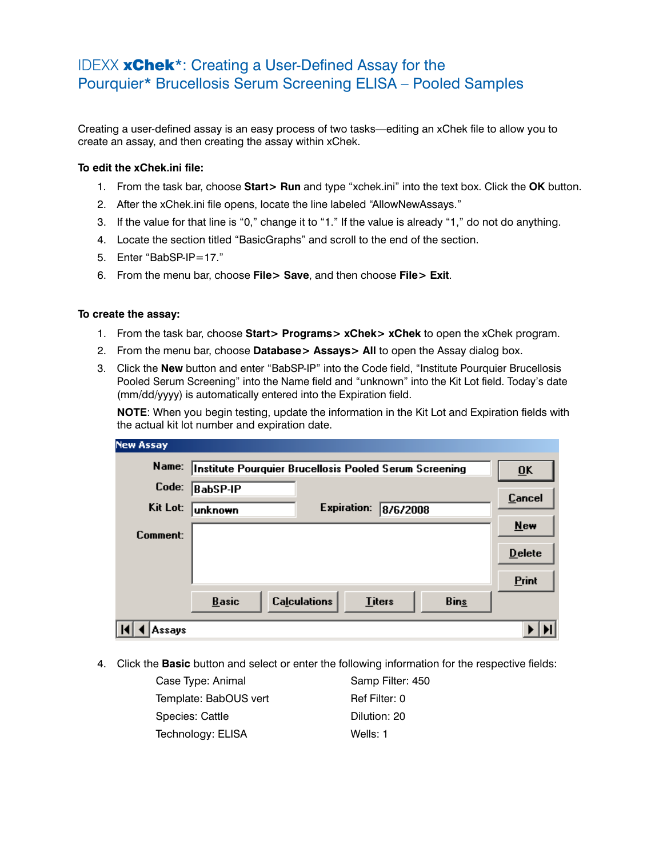## IDEXX xChek\*: Creating a User-Defined Assay for the Pourquier\* Brucellosis Serum Screening ELISA – Pooled Samples

Creating a user-defined assay is an easy process of two tasks—editing an xChek file to allow you to create an assay, and then creating the assay within xChek.

## **To edit the xChek.ini file:**

- 1. From the task bar, choose **Start> Run** and type "xchek.ini" into the text box. Click the **OK** button.
- 2. After the xChek.ini file opens, locate the line labeled "AllowNewAssays."
- 3. If the value for that line is "0," change it to "1." If the value is already "1," do not do anything.
- 4. Locate the section titled "BasicGraphs" and scroll to the end of the section.
- 5. Enter "BabSP-IP=17."
- 6. From the menu bar, choose **File> Save**, and then choose **File> Exit**.

## **To create the assay:**

- 1. From the task bar, choose **Start> Programs> xChek> xChek** to open the xChek program.
- 2. From the menu bar, choose **Database> Assays> All** to open the Assay dialog box.
- 3. Click the **New** button and enter "BabSP-IP" into the Code field, "Institute Pourquier Brucellosis Pooled Serum Screening" into the Name field and "unknown" into the Kit Lot field. Today's date (mm/dd/yyyy) is automatically entered into the Expiration field.

**NOTE:** When you begin testing, update the information in the Kit Lot and Expiration fields with the actual kit lot number and expiration date.

| <b>New Assay</b> |                                                        |                           |               |             |               |
|------------------|--------------------------------------------------------|---------------------------|---------------|-------------|---------------|
| Name:            | Institute Pourquier Brucellosis Pooled Serum Screening | $\overline{\mathbf{U}}$ K |               |             |               |
| Code:            | BabSP-IP                                               |                           |               |             | <b>Cancel</b> |
| Kit Lot:         | unknown                                                | <b>Expiration:</b>        | 8/6/2008      |             |               |
| Comment:         |                                                        |                           |               |             | <b>New</b>    |
|                  |                                                        |                           |               |             | <b>Delete</b> |
|                  |                                                        |                           |               |             | Print         |
|                  | <b>Basic</b>                                           | <b>Calculations</b>       | <b>Titers</b> | <b>Bins</b> |               |
| Assays           |                                                        |                           |               |             |               |

4. Click the **Basic** button and select or enter the following information for the respective fields:

| Case Type: Animal     | Samp Filter: 450 |
|-----------------------|------------------|
| Template: BabOUS vert | Ref Filter: 0    |
| Species: Cattle       | Dilution: 20     |
| Technology: ELISA     | Wells: 1         |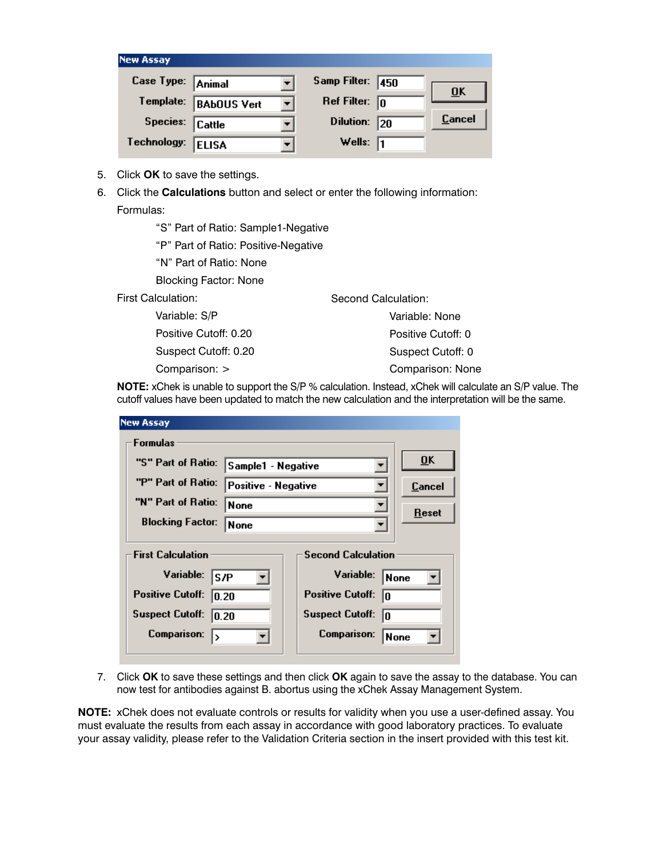| <b>New Assay</b>  |                    |                  |      |                           |
|-------------------|--------------------|------------------|------|---------------------------|
| Case Type: Animal |                    | Samp Filter:     | 1450 |                           |
| Template:         | <b>BAbOUS Vert</b> | Ref Filter:      | 10   | $\overline{\mathbf{0}}$ K |
| Species: Cattle   |                    | <b>Dilution:</b> | 20   | <b>Cancel</b>             |
| Technology:       | <b>ELISA</b>       | Wells:           | 11   |                           |

- 5. Click **OK** to save the settings.
- 6. Click the **Calculations** button and select or enter the following information: Formulas:

"S" Part of Ratio: Sample1-Negative

"P" Part of Ratio: Positive-Negative

"N" Part of Ratio: None

Blocking Factor: None

First Calculation:

 Variable: S/P Positive Cutoff: 0.20 Suspect Cutoff: 0.20 Comparison: > Variable: None Positive Cutoff: 0 Suspect Cutoff: 0 Comparison: None

**NOTE:** xChek is unable to support the S/P % calculation. Instead, xChek will calculate an S/P value. The cutoff values have been updated to match the new calculation and the interpretation will be the same.

Second Calculation:

| <b>New Assay</b>                                      |                     |                               |                           |  |
|-------------------------------------------------------|---------------------|-------------------------------|---------------------------|--|
| Formulas                                              |                     |                               |                           |  |
| "S" Part of Ratio:                                    | Sample1 - Negative  |                               | $\overline{\mathbf{0}}$ K |  |
| "P" Part of Ratio:                                    | Positive - Negative |                               | Cancel                    |  |
| "N" Part of Ratio:<br><b>None</b>                     |                     |                               | Reset                     |  |
| <b>Blocking Factor:</b>                               | <b>None</b>         |                               |                           |  |
| <b>Second Calculation</b><br><b>First Calculation</b> |                     |                               |                           |  |
| Variable:<br>ls/P                                     |                     | Variable:                     | None                      |  |
| <b>Positive Cutoff:</b><br>10.20                      |                     | <b>Positive Cutoff:</b><br>I۵ |                           |  |
| <b>Suspect Cutoff:</b><br>10.20                       |                     | <b>Suspect Cutoff:</b><br>In  |                           |  |
| <b>Comparison:</b><br>I۶                              |                     | Comparison:<br>None           |                           |  |
|                                                       |                     |                               |                           |  |

7. Click **OK** to save these settings and then click **OK** again to save the assay to the database. You can now test for antibodies against B. abortus using the xChek Assay Management System.

**NOTE:** xChek does not evaluate controls or results for validity when you use a user-defined assay. You must evaluate the results from each assay in accordance with good laboratory practices. To evaluate your assay validity, please refer to the Validation Criteria section in the insert provided with this test kit.